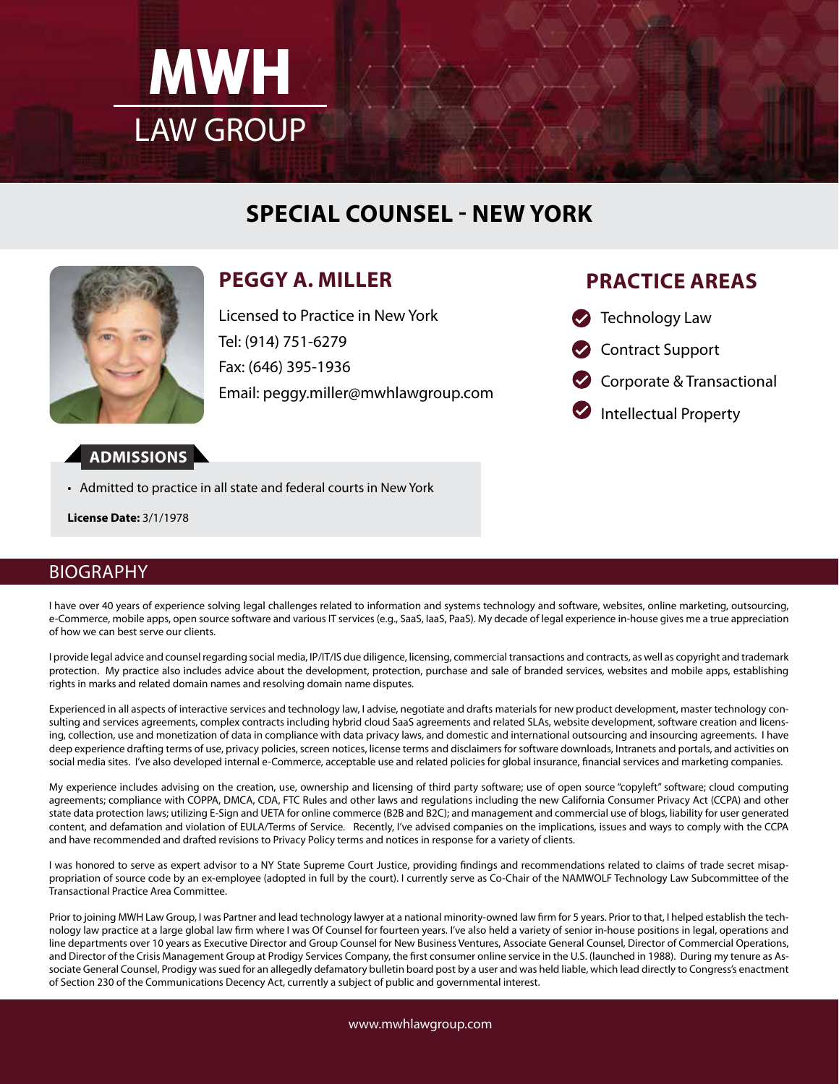

# **SPECIAL COUNSEL - NEW YORK**



# **PEGGY A. MILLER**

Licensed to Practice in New York Tel: (914) 751-6279 Fax: (646) 395-1936 Email: peggy.miller@mwhlawgroup.com

## **PRACTICE AREAS**

- **B** Technology Law
- Contract Support
- Corporate & Transactional

Intellectual Property

- **ADMISSIONS**
- Admitted to practice in all state and federal courts in New York

**License Date:** 3/1/1978

### BIOGRAPHY

I have over 40 years of experience solving legal challenges related to information and systems technology and software, websites, online marketing, outsourcing, e-Commerce, mobile apps, open source software and various IT services (e.g., SaaS, IaaS, PaaS). My decade of legal experience in-house gives me a true appreciation of how we can best serve our clients.

I provide legal advice and counsel regarding social media, IP/IT/IS due diligence, licensing, commercial transactions and contracts, as well as copyright and trademark protection. My practice also includes advice about the development, protection, purchase and sale of branded services, websites and mobile apps, establishing rights in marks and related domain names and resolving domain name disputes.

Experienced in all aspects of interactive services and technology law, I advise, negotiate and drafts materials for new product development, master technology consulting and services agreements, complex contracts including hybrid cloud SaaS agreements and related SLAs, website development, software creation and licensing, collection, use and monetization of data in compliance with data privacy laws, and domestic and international outsourcing and insourcing agreements. I have deep experience drafting terms of use, privacy policies, screen notices, license terms and disclaimers for software downloads, Intranets and portals, and activities on social media sites. I've also developed internal e-Commerce, acceptable use and related policies for global insurance, financial services and marketing companies.

My experience includes advising on the creation, use, ownership and licensing of third party software; use of open source "copyleft" software; cloud computing agreements; compliance with COPPA, DMCA, CDA, FTC Rules and other laws and regulations including the new California Consumer Privacy Act (CCPA) and other state data protection laws; utilizing E-Sign and UETA for online commerce (B2B and B2C); and management and commercial use of blogs, liability for user generated content, and defamation and violation of EULA/Terms of Service. Recently, I've advised companies on the implications, issues and ways to comply with the CCPA and have recommended and drafted revisions to Privacy Policy terms and notices in response for a variety of clients.

I was honored to serve as expert advisor to a NY State Supreme Court Justice, providing findings and recommendations related to claims of trade secret misappropriation of source code by an ex-employee (adopted in full by the court). I currently serve as Co-Chair of the NAMWOLF Technology Law Subcommittee of the Transactional Practice Area Committee.

Prior to joining MWH Law Group, I was Partner and lead technology lawyer at a national minority-owned law firm for 5 years. Prior to that, I helped establish the technology law practice at a large global law firm where I was Of Counsel for fourteen years. I've also held a variety of senior in-house positions in legal, operations and line departments over 10 years as Executive Director and Group Counsel for New Business Ventures, Associate General Counsel, Director of Commercial Operations, and Director of the Crisis Management Group at Prodigy Services Company, the first consumer online service in the U.S. (launched in 1988). During my tenure as Associate General Counsel, Prodigy was sued for an allegedly defamatory bulletin board post by a user and was held liable, which lead directly to Congress's enactment of Section 230 of the Communications Decency Act, currently a subject of public and governmental interest.

www.mwhlawgroup.com